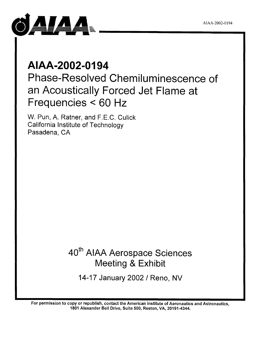

# **AIAA-2002-0194**

Phase-Resolved Chemiluminescence of an Acoustically Forced Jet Flame at Frequencies < 60 Hz

W. Pun, A. Ratner, and F.E.C. Culick California Institute of Technology Pasadena, CA

## 40<sup>th</sup> AIAA Aerospace Sciences Meeting & Exhibit

14-17 January 2002 / Reno, NV

For permission to copy or republish, contact the American Institute of Aeronautics and Astronautics, 1801 Alexander Bell Drive, Suite 500, Reston, VA, 20191-4344.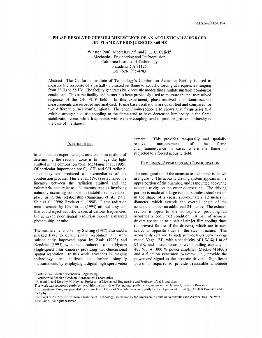## PHASE-RESOLVED CHEMILUMINESCENCE OF AN ACOUSTICALLY FORCED JET FLAME AT FREQUENCIES <60 HZ

Winston Pun<sup>\*</sup>, Albert Ratner<sup>†</sup>, and F. E. C. Culick<sup>‡</sup> Mechanical Engineering and Jet Propulsion California Institute of Technology Pasadena, CA 91125 Tel: (626) 395-4783

Abstract -The California Institute of Technology's Combustion Acoustics Facility is used to measure the response of a partially premixed jet flame to acoustic forcing at frequencies ranging from 22 Hz to 55 Hz. The facility generates bulk acoustic modes that simulate unstable combustor conditions. This same facility and burner has been previously used to measure the phase-resolved response of the OH PLIF field. In this experiment, phase-resolved chemiluminescence measurements are recorded and analyzed. Flame base oscillations are quantified and compared for two different burner configurations. The chemiluminescence also shows that frequencies that exhibit stronger acoustic coupling to the flame tend to have decreased luminosity in the flame stabilization zone, while frequencies with weaker coupling tend to produce greater luminosity at the base of the flame.

#### **INTRODUCTION**

In combustion experiments, a now common method of determining the reaction zone is to image the light emitted in the combustion zone (McManus et aI., 1995). Of particular importance are  $C_2$ , CH, and OH radicals, since they are produced as intermediaries of the combustion process. Hurle et al. (1968) established the linearity between the radiation emitted and the volumetric heat release. Numerous studies involving naturally occurring combustion instabilities have taken place using this relationship (Samiengo et aI., 1993; Shih et aI., 1996; Broda et aI., 1998). Flame radiation measurements by Chen et al. (1993) utilized a system that could inject acoustic waves at various frequencies, but achieved poor spatial resolution through a masked photomultiplier tube.

The measurements taken by Sterling (1987) also used a masked PMT to obtain spatial resolution, and were subsequently improved upon by Zsak (1993) and Kendrick (1995), with the introduction of the Hycam (high-speed film camera) providing two-dimensional spatial resolution. In this work, advances in imaging technology are utilized to further simplifY measurements by employing a digital high-speed video camera. This provides temporally and spatially resolved measurements of the flame chemiluminescence in cases where the flame is subjected to a forced acoustic field.

#### EXPERIMENT ApPARATUS AND CONFIGURATION

The configuration of the acoustic test chamber is shown in Figure 1. The acoustic driving system appears in the upper portion of the chamber, and is mounted above the acoustic cavity on the outer quartz tube. The driving portion is made of a large tubular stainless steel section in the shape of a cross, approximately 12 inches in diameter, which extends the overall length of the acoustic chamber an additional 24 inches. The exhaust section is open to the atmosphere, providing an acoustically open exit condition. A pair of acoustic drivers are sealed to a pair of air jet film cooling rings (to prevent failure of the drivers), which are in turn sealed to opposite sides of the steel structure. The acoustic drivers are 12 inch subwoofers (Cerwin-Vega model Vega 124), with a sensitivity of 1 W  $@$  1 m of 94 dB, and a continuous power handling capacity of 400 W. A 1000 W power amplifier (Mackie M1400i) and a function generator (Wavetek 171) provide the power and signal to the acoustic drivers. Significant power is required to provide reasonable amplitude

<sup>•</sup> Postdoctoral Scholar, Mechanical Engineering

t Postdoctoral Scholar, Graduate Aeronautical Laboratories

<sup>&</sup>lt;sup>‡</sup> Richard L. and Dorothy M. Hayman Professor of Mechanical Engineering and Professor of Jet Propulsion.

This work was sponsored partly by the California Institute of Technology; partly by a grant under the Defense University Research Instrumentation Program, provided by the Air Force Office of Scientific Research; partly by the Department of Energy, AGTSR Program; and

partly by ENEL. Copyright © 2002 by the California Institute of Technology. Published by the American Institute of Aeronautics and Astronautics, Inc. with permission. All rights reserved.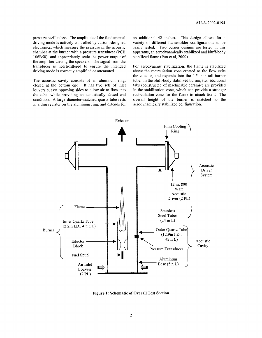pressure oscillations. The amplitude of the fundamental driving mode is actively controlled by custom-designed electronics, which measure the pressure in the acoustic chamber at the burner with a pressure transducer (PCB 106BSO), and appropriately scale the power output of the amplifier driving the speakers. The signal from the transducer is notch-filtered to ensure the intended driving mode is correctly amplified or attenuated.

The acoustic cavity consists of an aluminum ring, closed at the bottom end. It has two sets of inlet louvers cut on opposing sides to allow air to flow into the tube, while providing an acoustically closed end condition. A large diameter-matched quartz tube rests in a thin register on the aluminum ring, and extends for an additional 42 inches. This design allows for a variety of different flameholder configurations to be easily tested. Two burner designs are tested in this apparatus, an aerodynamically stabilized and bluff-body stabilized flame (Pun et al. 2000).

For aerodynamic stabilization, the flame is stabilized above the recirculation zone created as the flow exits the eductor, and expands into the 4.S inch tall burner tube. In the bluff-body stabilized burner, two additional tabs (constructed of machinable ceramic) are provided in the stabilization zone, which can provide a stronger recirculation zone for the flame to attach itself. The overall height of the burner is matched to the aerodynamically stabilized configuration.



Figure 1: Schematic of Overall Test Section

2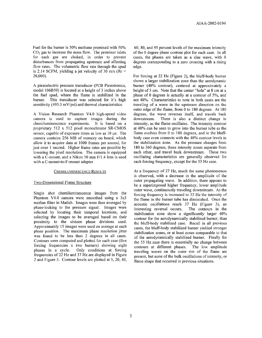Fuel for the burner is 50% methane premixed with 50%  $CO<sub>2</sub>$  gas to increase the mass flow. The premixer inlets for each gas are choked, in order to prevent disturbances from propagating upstream and affecting flow rates. The volumetric flow rate through the spud is 2.14 SCFM, yielding a jet velocity of 30 *mls (Re* <sup>=</sup> 20,000).

A piezoelectric pressure transducer (PCB Piezotronics, model 106B50) is located at a height of 3 inches above the fuel spud, where the flame is stabilized in the burner. This transducer was selected for it's high sensitivity (493.3 mV/psi) and thermal characteristics.

A Vision Research Phantom V4.0 high-speed video camera is used to capture images during the chemiluminescence experiments. It is based on a proprietary 512 x 512 pixel monochrome SR-CMOS sensor, capable of exposure times as low as  $10 \mu s$ . The camera contains 256 MB of memory on board, which allow it to acquire data at lOOO frames per second, for just over 1 second. Higher frame rates are possible by lowering the pixel resolution. The camera is equipped with a C-mount, and a Nikon 50 mm  $F/1.4$  lens is used with a C-mount-to-F-mount adapter.

#### CHEMILUMINESCENCE RESULTS

## Two-Dimensional Flame Structure

Single shot chemiluminescence images from the Phantom V4.0 camera were smoothed using a 3x3 median filter in Matlab. Images were then averaged by phase-locking to the pressure signal. Images were selected by locating their temporal locations, and selecting the images to be averaged based on their proximity to the sixteen phase divisions used. Approximately 15 images were used on average at each phase position. The maximum phase resolution jitter was found to be less than 2 degrees in all cases. Contours were computed and plotted for each case (five forcing frequencies x two burners) showing eight phases in a cycle. Only conditions at forcing frequencies of 22 Hz and 37 Hz are displayed in Figure 2 and Figure 3. Contour levels are plotted at 5, 20, 40,

60, 80, and 95 percent levels of the maximum intensity of the 0 degree phase contour plot for each case. **In** all cases, the phases are taken as a sine wave, with 0 degrees corresponding to a zero crossing with a rising edge.

For forcing at 22 Hz (Figure 2), the bluff-body burner shows a larger stabilization zone than the aerodynamic burner (40% contour), centered at approximately a height of 5 cm. Note that the center "hole" at 8 cm at a phase of 0 degrees is actually at a contour of 5%, and not 40%. Characteristics to note in both cases are the traveling of a wave in the upstream direction on the outer edge of the flame, from 0 to 180 degrees. At 180 degrees, the wave reverses itself, and travels back<br>downstream. There is also a distinct change in There is also a distinct change in intensity, as the flame oscillates. The intensity contour at 40% can be seen to grow into the burner tube as the flame evolves from 0 to 180 degrees, and in the bluffbody case even connects with the 40% contour levels in the stabilization zone. As the pressure changes from 180 to 360 degrees, these intensity zones separate from each other, and travel back downstream. These two oscillating characteristics are generally observed for each forcing frequency, except for the 55 Hz case.

At a frequency of 27 Hz, much the same phenomenon is observed, with a decrease in the amplitude of the outer propagating wave. **In** addition, there appears to be a superimposed higher frequency, lower amplitude outer wave, continuously traveling downstream. As the forcing frequency is increased to 32 Hz the intensity of the flame in the burner tube has diminished. Once the acoustic oscillations reach 37 Hz (Figure 3), an interesting reversal occurs. The contours in the stabilization zone show a significantly larger 40% contour for the aerodynamically stabilized burner, than the bluff-body stabilized case. Recall in all previous cases, the bluff-body stabilized burner yielded stronger stabilization zones, or at least zones comparable to that of the aerodynamically stabilized burner. Finally for the 55 Hz case there is essentially no change between contours at different phases. The low amplitude traveling waves on the outer rim of the flame are present, but none of the bulk oscillations of intensity, or flame shape that occurred in previous situations.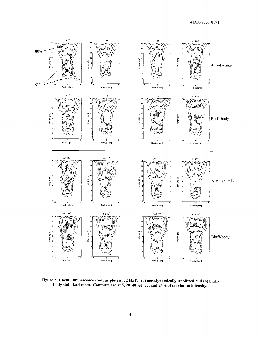

Figure 2: Chemiluminescence contour plots at 22 Hz for (a) aerodynamically stabilized and (b) bluffbody stabilized cases. Contours are at 5, 20, 40, 60, 80, and 95% of maximum intensity.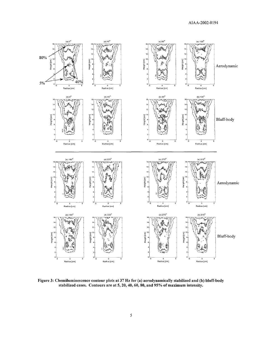

Figure 3: Chemiluminescence contour plots at 37 Hz for (a) aerodynamically stabilized and (b) bluff-body stabilized cases. Contours are at 5, 20, 40, 60, 80, and 95% of maximum intensity.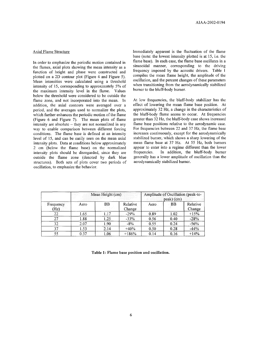## Axial Flame Structure

In order to emphasize the periodic motion contained in the flames, axial plots showing the mean intensity as a function of height and phase were constructed and plotted on a 2D contour plot (Figure 4 and Figure 5). Mean intensities were calculated using a threshold intensity of 15, corresponding to approximately 5% of the maximum intensity level in the flame. Values below the threshold were considered to be outside the flame zone, and not incorporated into the mean. In addition, the axial contours were averaged over a period, and the averages used to normalize the plots, which further enhances the periodic motion of the flame (Figure 6 and Figure 7). The mean plots of flame intensity are absolute  $-$  they are not normalized in any way to enable comparison between different forcing conditions. The flame base is defined at an intensity level of 15, and can be easily seen on the mean axial intensity plots. Data at conditions below approximately 2 cm (below the flame base) on the normalized intensity plots should be disregarded, since they are outside the flame zone (denoted by dark blue structures). Both sets of plots cover two periods of oscillation, to emphasize the behavior.

Immediately apparent is the fluctuation of the flame base (note: the lowest intensity plotted is at 15, i.e. the flame base). In each case, the flame base oscillates in a sinusoidal manner, corresponding to the driving frequency imposed by the acoustic drivers. Table 1 compiles the mean flame height, the amplitude of the oscillation, and the percent changes of these parameters when transitioning from the aerodynamically stabilized burner to the bluff-body burner.

At low frequencies, the bluff-body stabilizer has the effect of lowering the mean flame base position. At approximately 32 Hz, a change in the characteristics of the bluff-body flame seems to occur. At frequencies greater than 32 Hz, the bluff-body case shows increased flame base positions relative to the aerodynamic case. For frequencies between 22 and 37 Hz, the flame base increases continuously, except for the aerodynamically stabilized burner, which shows a sharp lowering of the mean flame base at 37 Hz. At 55 Hz, both burners appear to enter into a regime different than the lower frequencies. In addition, the bluff-body burner generally has a lower amplitude of oscillation than the aerodynamically stabilized burner.

|                   | Mean Height (cm) |      |                    | Amplitude of Oscillation (peak-to-<br>peak) (cm) |      |                           |
|-------------------|------------------|------|--------------------|--------------------------------------------------|------|---------------------------|
| Frequency<br>(Hz) | Aero             | BB   | Relative<br>Change | Aero                                             | - BB | <b>Relative</b><br>Change |
| 22                | 1.65             | 1.17 | $-29%$             | 0.89                                             | 1.02 | $+15%$                    |
| 27                | 1.88             | 1.25 | $-33%$             | 0.56                                             | 0.40 | $-28%$                    |
| 32                | 2.07             | 1.90 | $-8\%$             | 0.55                                             | 0.24 | $-56%$                    |
| 37                | 1.53             | 2.14 | $+40%$             | 0.50                                             | 0.28 | $-44%$                    |
| 55                | 0.37             | 1.06 | $+186%$            | 0.14                                             | 0.16 | $+14%$                    |

Table 1: Flame base position and oscillation.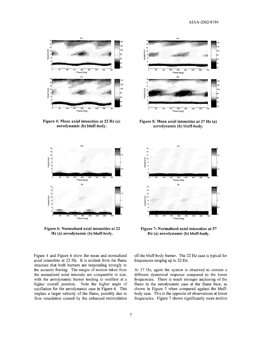

Figure 4: Mean axial intensities at 22 Hz (a) aerodynamic (b) bluff-body.



Figure 6: Normalized axial intensities at 22 Hz (a) aerodynamic (b) bluff-body.

Figure 4 and Figure 6 show the mean and normalized axial intensities at 22 Hz. It is evident from the flame structure that both burners are responding strongly to the acoustic forcing. The ranges of motion taken from the normalized axial intensity are comparable in size, with the aerodynamic burner tending to oscillate at a higher overall position. Note the higher angle of oscillation for the aerodynamic case in Figure 6. This implies a larger velocity of the flame, possibly due to flow retardation caused by the enhanced recirculation



Figure 5: Mean axial intensities at 37 Hz (a) aerodynamic (b) bluff-body.



Figure 7: Normalized axial intensities at 37 Hz (a) aerodynamic (b) bluff-body.

off the bluff-body burner. The 22 Hz case is typical for frequencies ranging up to 32 Hz.

At 37 Hz, again the system is observed to contain a different dynamical response compared to the lower frequencies. There is much stronger anchoring of the flame in the aerodynamic case at the flame base, as shown in Figure 5 when compared against the bluffbody case. This is the opposite of observations at lower frequencies. Figure 7 shows significantly more motion